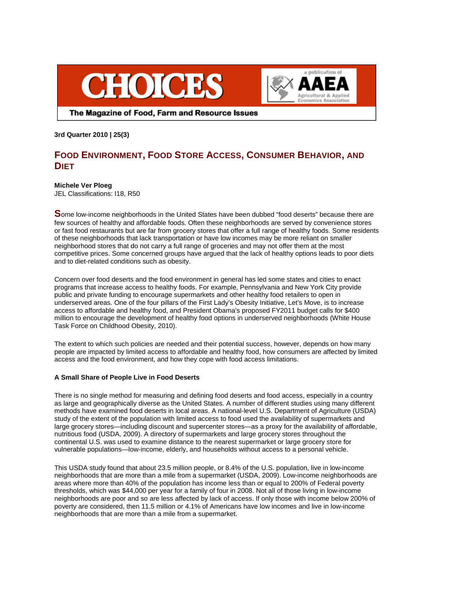



The Magazine of Food, Farm and Resource Issues

**3rd Quarter 2010 | 25(3)** 

# **FOOD ENVIRONMENT, FOOD STORE ACCESS, CONSUMER BEHAVIOR, AND DIET**

# **Michele Ver Ploeg**

JEL Classifications: I18, R50

**S**ome low-income neighborhoods in the United States have been dubbed "food deserts" because there are few sources of healthy and affordable foods. Often these neighborhoods are served by convenience stores or fast food restaurants but are far from grocery stores that offer a full range of healthy foods. Some residents of these neighborhoods that lack transportation or have low incomes may be more reliant on smaller neighborhood stores that do not carry a full range of groceries and may not offer them at the most competitive prices. Some concerned groups have argued that the lack of healthy options leads to poor diets and to diet-related conditions such as obesity.

Concern over food deserts and the food environment in general has led some states and cities to enact programs that increase access to healthy foods. For example, Pennsylvania and New York City provide public and private funding to encourage supermarkets and other healthy food retailers to open in underserved areas. One of the four pillars of the First Lady's Obesity Initiative, Let's Move, is to increase access to affordable and healthy food, and President Obama's proposed FY2011 budget calls for \$400 million to encourage the development of healthy food options in underserved neighborhoods (White House Task Force on Childhood Obesity, 2010).

The extent to which such policies are needed and their potential success, however, depends on how many people are impacted by limited access to affordable and healthy food, how consumers are affected by limited access and the food environment, and how they cope with food access limitations.

# **A Small Share of People Live in Food Deserts**

There is no single method for measuring and defining food deserts and food access, especially in a country as large and geographically diverse as the United States. A number of different studies using many different methods have examined food deserts in local areas. A national-level U.S. Department of Agriculture (USDA) study of the extent of the population with limited access to food used the availability of supermarkets and large grocery stores—including discount and supercenter stores—as a proxy for the availability of affordable, nutritious food (USDA, 2009). A directory of supermarkets and large grocery stores throughout the continental U.S. was used to examine distance to the nearest supermarket or large grocery store for vulnerable populations—low-income, elderly, and households without access to a personal vehicle.

This USDA study found that about 23.5 million people, or 8.4% of the U.S. population, live in low-income neighborhoods that are more than a mile from a supermarket (USDA, 2009). Low-income neighborhoods are areas where more than 40% of the population has income less than or equal to 200% of Federal poverty thresholds, which was \$44,000 per year for a family of four in 2008. Not all of those living in low-income neighborhoods are poor and so are less affected by lack of access. If only those with income below 200% of poverty are considered, then 11.5 million or 4.1% of Americans have low incomes and live in low-income neighborhoods that are more than a mile from a supermarket.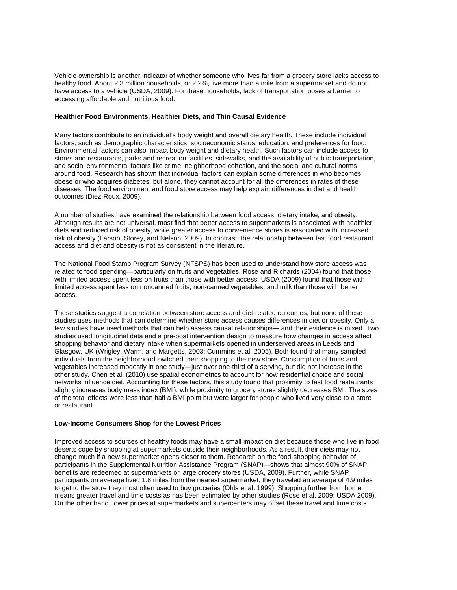Vehicle ownership is another indicator of whether someone who lives far from a grocery store lacks access to healthy food. About 2.3 million households, or 2.2%, live more than a mile from a supermarket and do not have access to a vehicle (USDA, 2009). For these households, lack of transportation poses a barrier to accessing affordable and nutritious food.

## **Healthier Food Environments, Healthier Diets, and Thin Causal Evidence**

Many factors contribute to an individual's body weight and overall dietary health. These include individual factors, such as demographic characteristics, socioeconomic status, education, and preferences for food. Environmental factors can also impact body weight and dietary health. Such factors can include access to stores and restaurants, parks and recreation facilities, sidewalks, and the availability of public transportation, and social environmental factors like crime, neighborhood cohesion, and the social and cultural norms around food. Research has shown that individual factors can explain some differences in who becomes obese or who acquires diabetes, but alone, they cannot account for all the differences in rates of these diseases. The food environment and food store access may help explain differences in diet and health outcomes (Diez-Roux, 2009).

A number of studies have examined the relationship between food access, dietary intake, and obesity. Although results are not universal, most find that better access to supermarkets is associated with healthier diets and reduced risk of obesity, while greater access to convenience stores is associated with increased risk of obesity (Larson, Storey, and Nelson, 2009). In contrast, the relationship between fast food restaurant access and diet and obesity is not as consistent in the literature.

The National Food Stamp Program Survey (NFSPS) has been used to understand how store access was related to food spending—particularly on fruits and vegetables. Rose and Richards (2004) found that those with limited access spent less on fruits than those with better access. USDA (2009) found that those with limited access spent less on noncanned fruits, non-canned vegetables, and milk than those with better access.

These studies suggest a correlation between store access and diet-related outcomes, but none of these studies uses methods that can determine whether store access causes differences in diet or obesity. Only a few studies have used methods that can help assess causal relationships— and their evidence is mixed. Two studies used longitudinal data and a pre-post intervention design to measure how changes in access affect shopping behavior and dietary intake when supermarkets opened in underserved areas in Leeds and Glasgow, UK (Wrigley, Warm, and Margetts, 2003; Cummins et al. 2005). Both found that many sampled individuals from the neighborhood switched their shopping to the new store. Consumption of fruits and vegetables increased modestly in one study—just over one-third of a serving, but did not increase in the other study. Chen et al. (2010) use spatial econometrics to account for how residential choice and social networks influence diet. Accounting for these factors, this study found that proximity to fast food restaurants slightly increases body mass index (BMI), while proximity to grocery stores slightly decreases BMI. The sizes of the total effects were less than half a BMI point but were larger for people who lived very close to a store or restaurant.

### **Low-Income Consumers Shop for the Lowest Prices**

Improved access to sources of healthy foods may have a small impact on diet because those who live in food deserts cope by shopping at supermarkets outside their neighborhoods. As a result, their diets may not change much if a new supermarket opens closer to them. Research on the food-shopping behavior of participants in the Supplemental Nutrition Assistance Program (SNAP)—shows that almost 90% of SNAP benefits are redeemed at supermarkets or large grocery stores (USDA, 2009). Further, while SNAP participants on average lived 1.8 miles from the nearest supermarket, they traveled an average of 4.9 miles to get to the store they most often used to buy groceries (Ohls et al. 1999). Shopping further from home means greater travel and time costs as has been estimated by other studies (Rose et al. 2009; USDA 2009). On the other hand, lower prices at supermarkets and supercenters may offset these travel and time costs.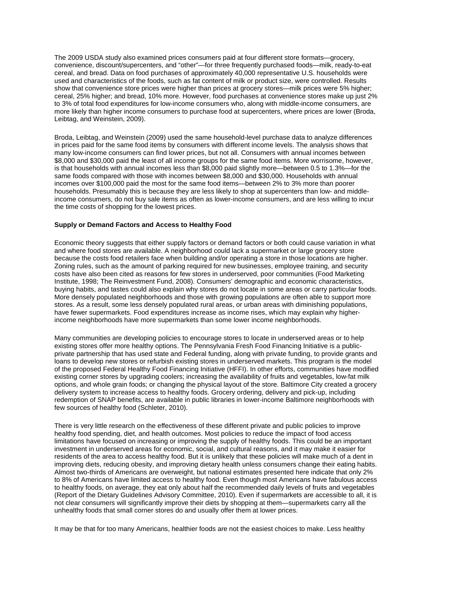The 2009 USDA study also examined prices consumers paid at four different store formats—grocery, convenience, discount/supercenters, and "other"—for three frequently purchased foods—milk, ready-to-eat cereal, and bread. Data on food purchases of approximately 40,000 representative U.S. households were used and characteristics of the foods, such as fat content of milk or product size, were controlled. Results show that convenience store prices were higher than prices at grocery stores—milk prices were 5% higher; cereal, 25% higher; and bread, 10% more. However, food purchases at convenience stores make up just 2% to 3% of total food expenditures for low-income consumers who, along with middle-income consumers, are more likely than higher income consumers to purchase food at supercenters, where prices are lower (Broda, Leibtag, and Weinstein, 2009).

Broda, Leibtag, and Weinstein (2009) used the same household-level purchase data to analyze differences in prices paid for the same food items by consumers with different income levels. The analysis shows that many low-income consumers can find lower prices, but not all. Consumers with annual incomes between \$8,000 and \$30,000 paid the least of all income groups for the same food items. More worrisome, however, is that households with annual incomes less than \$8,000 paid slightly more—between 0.5 to 1.3%—for the same foods compared with those with incomes between \$8,000 and \$30,000. Households with annual incomes over \$100,000 paid the most for the same food items—between 2% to 3% more than poorer households. Presumably this is because they are less likely to shop at supercenters than low- and middleincome consumers, do not buy sale items as often as lower-income consumers, and are less willing to incur the time costs of shopping for the lowest prices.

### **Supply or Demand Factors and Access to Healthy Food**

Economic theory suggests that either supply factors or demand factors or both could cause variation in what and where food stores are available. A neighborhood could lack a supermarket or large grocery store because the costs food retailers face when building and/or operating a store in those locations are higher. Zoning rules, such as the amount of parking required for new businesses, employee training, and security costs have also been cited as reasons for few stores in underserved, poor communities (Food Marketing Institute, 1998; The Reinvestment Fund, 2008). Consumers' demographic and economic characteristics, buying habits, and tastes could also explain why stores do not locate in some areas or carry particular foods. More densely populated neighborhoods and those with growing populations are often able to support more stores. As a result, some less densely populated rural areas, or urban areas with diminishing populations, have fewer supermarkets. Food expenditures increase as income rises, which may explain why higherincome neighborhoods have more supermarkets than some lower income neighborhoods.

Many communities are developing policies to encourage stores to locate in underserved areas or to help existing stores offer more healthy options. The Pennsylvania Fresh Food Financing Initiative is a publicprivate partnership that has used state and Federal funding, along with private funding, to provide grants and loans to develop new stores or refurbish existing stores in underserved markets. This program is the model of the proposed Federal Healthy Food Financing Initiative (HFFI). In other efforts, communities have modified existing corner stores by upgrading coolers; increasing the availability of fruits and vegetables, low-fat milk options, and whole grain foods; or changing the physical layout of the store. Baltimore City created a grocery delivery system to increase access to healthy foods. Grocery ordering, delivery and pick-up, including redemption of SNAP benefits, are available in public libraries in lower-income Baltimore neighborhoods with few sources of healthy food (Schleter, 2010).

There is very little research on the effectiveness of these different private and public policies to improve healthy food spending, diet, and health outcomes. Most policies to reduce the impact of food access limitations have focused on increasing or improving the supply of healthy foods. This could be an important investment in underserved areas for economic, social, and cultural reasons, and it may make it easier for residents of the area to access healthy food. But it is unlikely that these policies will make much of a dent in improving diets, reducing obesity, and improving dietary health unless consumers change their eating habits. Almost two-thirds of Americans are overweight, but national estimates presented here indicate that only 2% to 8% of Americans have limited access to healthy food. Even though most Americans have fabulous access to healthy foods, on average, they eat only about half the recommended daily levels of fruits and vegetables (Report of the Dietary Guidelines Advisory Committee, 2010). Even if supermarkets are accessible to all, it is not clear consumers will significantly improve their diets by shopping at them—supermarkets carry all the unhealthy foods that small corner stores do and usually offer them at lower prices.

It may be that for too many Americans, healthier foods are not the easiest choices to make. Less healthy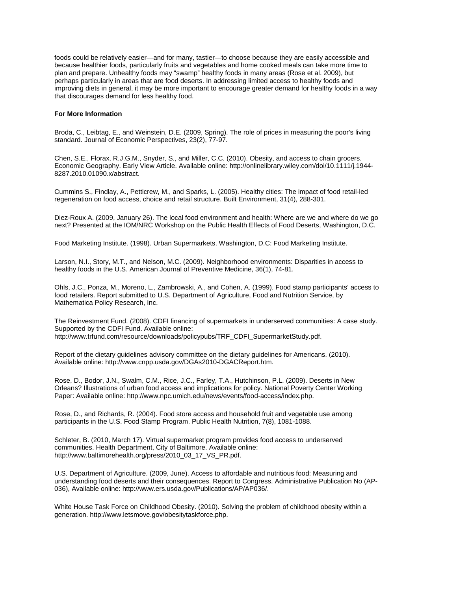foods could be relatively easier—and for many, tastier—to choose because they are easily accessible and because healthier foods, particularly fruits and vegetables and home cooked meals can take more time to plan and prepare. Unhealthy foods may "swamp" healthy foods in many areas (Rose et al. 2009), but perhaps particularly in areas that are food deserts. In addressing limited access to healthy foods and improving diets in general, it may be more important to encourage greater demand for healthy foods in a way that discourages demand for less healthy food.

### **For More Information**

Broda, C., Leibtag, E., and Weinstein, D.E. (2009, Spring). The role of prices in measuring the poor's living standard. Journal of Economic Perspectives, 23(2), 77-97.

Chen, S.E., Florax, R.J.G.M., Snyder, S., and Miller, C.C. (2010). Obesity, and access to chain grocers. Economic Geography. Early View Article. Available online: http://onlinelibrary.wiley.com/doi/10.1111/j.1944- 8287.2010.01090.x/abstract.

Cummins S., Findlay, A., Petticrew, M., and Sparks, L. (2005). Healthy cities: The impact of food retail-led regeneration on food access, choice and retail structure. Built Environment, 31(4), 288-301.

Diez-Roux A. (2009, January 26). The local food environment and health: Where are we and where do we go next? Presented at the IOM/NRC Workshop on the Public Health Effects of Food Deserts, Washington, D.C.

Food Marketing Institute. (1998). Urban Supermarkets. Washington, D.C: Food Marketing Institute.

Larson, N.I., Story, M.T., and Nelson, M.C. (2009). Neighborhood environments: Disparities in access to healthy foods in the U.S. American Journal of Preventive Medicine, 36(1), 74-81.

Ohls, J.C., Ponza, M., Moreno, L., Zambrowski, A., and Cohen, A. (1999). Food stamp participants' access to food retailers. Report submitted to U.S. Department of Agriculture, Food and Nutrition Service, by Mathematica Policy Research, Inc.

The Reinvestment Fund. (2008). CDFI financing of supermarkets in underserved communities: A case study. Supported by the CDFI Fund. Available online: http://www.trfund.com/resource/downloads/policypubs/TRF\_CDFI\_SupermarketStudy.pdf.

Report of the dietary guidelines advisory committee on the dietary guidelines for Americans. (2010). Available online: http://www.cnpp.usda.gov/DGAs2010-DGACReport.htm.

Rose, D., Bodor, J.N., Swalm, C.M., Rice, J.C., Farley, T.A., Hutchinson, P.L. (2009). Deserts in New Orleans? Illustrations of urban food access and implications for policy. National Poverty Center Working Paper: Available online: http://www.npc.umich.edu/news/events/food-access/index.php.

Rose, D., and Richards, R. (2004). Food store access and household fruit and vegetable use among participants in the U.S. Food Stamp Program. Public Health Nutrition, 7(8), 1081-1088.

Schleter, B. (2010, March 17). Virtual supermarket program provides food access to underserved communities. Health Department, City of Baltimore. Available online: http://www.baltimorehealth.org/press/2010\_03\_17\_VS\_PR.pdf.

U.S. Department of Agriculture. (2009, June). Access to affordable and nutritious food: Measuring and understanding food deserts and their consequences. Report to Congress. Administrative Publication No (AP-036), Available online: http://www.ers.usda.gov/Publications/AP/AP036/.

White House Task Force on Childhood Obesity. (2010). Solving the problem of childhood obesity within a generation. http://www.letsmove.gov/obesitytaskforce.php.